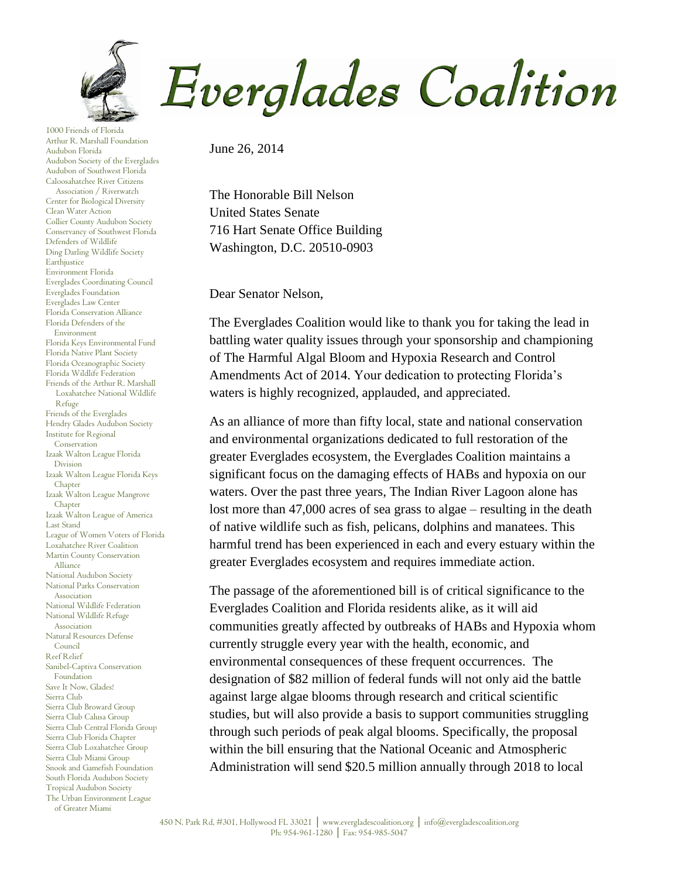

1000 Friends of Florida Arthur R. Marshall Foundation Audubon Florida Audubon Society of the Everglades Audubon of Southwest Florida Caloosahatchee River Citizens Association / Riverwatch Center for Biological Diversity Clean Water Action Collier County Audubon Society Conservancy of Southwest Florida Defenders of Wildlife Ding Darling Wildlife Society Earthiustice Environment Florida Everglades Coordinating Council Everglades Foundation Everglades Law Center Florida Conservation Alliance Florida Defenders of the Environment Florida Keys Environmental Fund Florida Native Plant Society Florida Oceanographic Society Florida Wildlife Federation Friends of the Arthur R. Marshall Loxahatchee National Wildlife Refuge Friends of the Everglades Hendry Glades Audubon Society Institute for Regional Conservation Izaak Walton League Florida Division Izaak Walton League Florida Keys Chapter Izaak Walton League Mangrove Chapter Izaak Walton League of America Last Stand League of Women Voters of Florida Loxahatchee River Coalition Martin County Conservation Alliance National Audubon Society National Parks Conservation Association National Wildlife Federation National Wildlife Refuge Association Natural Resources Defense Council Reef Relief Sanibel-Captiva Conservation Foundation Save It Now, Glades! Sierra Club Sierra Club Broward Group Sierra Club Calusa Group Sierra Club Central Florida Group Sierra Club Florida Chapter Sierra Club Loxahatchee Group Sierra Club Miami Group Snook and Gamefish Foundation South Florida Audubon Society Tropical Audubon Society The Urban Environment League of Greater Miami

Everglades Coalition

June 26, 2014

The Honorable Bill Nelson United States Senate 716 Hart Senate Office Building Washington, D.C. 20510-0903

Dear Senator Nelson,

The Everglades Coalition would like to thank you for taking the lead in battling water quality issues through your sponsorship and championing of The Harmful Algal Bloom and Hypoxia Research and Control Amendments Act of 2014. Your dedication to protecting Florida's waters is highly recognized, applauded, and appreciated.

As an alliance of more than fifty local, state and national conservation and environmental organizations dedicated to full restoration of the greater Everglades ecosystem, the Everglades Coalition maintains a significant focus on the damaging effects of HABs and hypoxia on our waters. Over the past three years, The Indian River Lagoon alone has lost more than 47,000 acres of sea grass to algae – resulting in the death of native wildlife such as fish, pelicans, dolphins and manatees. This harmful trend has been experienced in each and every estuary within the greater Everglades ecosystem and requires immediate action.

The passage of the aforementioned bill is of critical significance to the Everglades Coalition and Florida residents alike, as it will aid communities greatly affected by outbreaks of HABs and Hypoxia whom currently struggle every year with the health, economic, and environmental consequences of these frequent occurrences. The designation of \$82 million of federal funds will not only aid the battle against large algae blooms through research and critical scientific studies, but will also provide a basis to support communities struggling through such periods of peak algal blooms. Specifically, the proposal within the bill ensuring that the National Oceanic and Atmospheric Administration will send \$20.5 million annually through 2018 to local